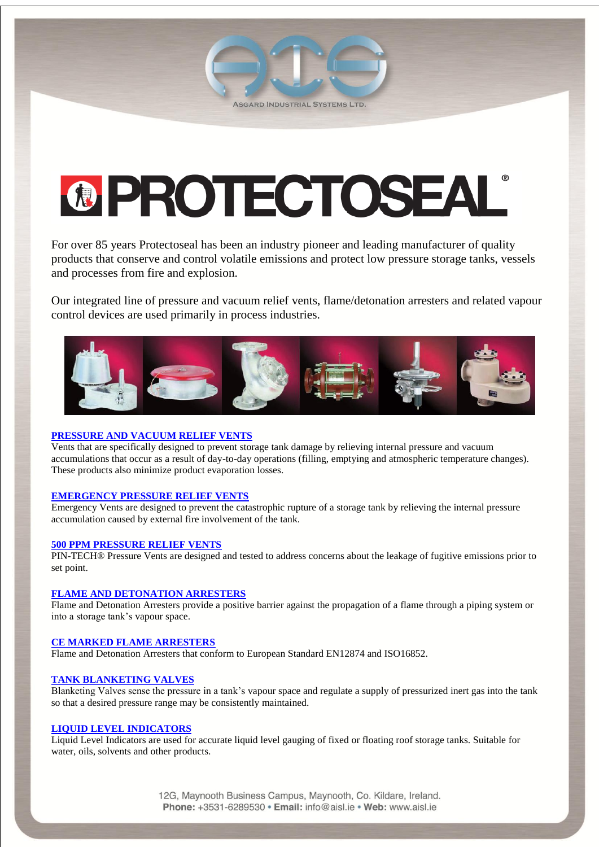

# **® PROTECTOSEAL**

For over 85 years Protectoseal has been an industry pioneer and leading manufacturer of quality products that conserve and control volatile emissions and protect low pressure storage tanks, vessels and processes from fire and explosion.

Our integrated line of pressure and vacuum relief vents, flame/detonation arresters and related vapour control devices are used primarily in process industries.



# **[PRESSURE AND VACUUM RELIEF VENTS](http://www.protectoseal.com/vaporFlame/vfVacuumRelief.cfm)**

Vents that are specifically designed to prevent storage tank damage by relieving internal pressure and vacuum accumulations that occur as a result of day-to-day operations (filling, emptying and atmospheric temperature changes). These products also minimize product evaporation losses.

# **[EMERGENCY PRESSURE RELIEF VENTS](http://www.protectoseal.com/vaporFlame/vfEmerRelief.cfm)**

Emergency Vents are designed to prevent the catastrophic rupture of a storage tank by relieving the internal pressure accumulation caused by external fire involvement of the tank.

#### **[500 PPM PRESSURE RELIEF VENTS](http://www.protectoseal.com/vaporFlame/series56000.cfm)**

PIN-TECH® Pressure Vents are designed and tested to address concerns about the leakage of fugitive emissions prior to set point.

## **[FLAME AND DETONATION ARRESTERS](http://www.protectoseal.com/vaporFlame/vfFlameArrester.cfm)**

Flame and Detonation Arresters provide a positive barrier against the propagation of a flame through a piping system or into a storage tank's vapour space.

#### **[CE MARKED FLAME ARRESTERS](http://www.protectoseal.com/vaporFlame/ce_marked_pro.cfm)**

Flame and Detonation Arresters that conform to European Standard EN12874 and ISO16852.

## **[TANK BLANKETING VALVES](http://www.protectoseal.com/vaporFlame/vfTankValves.cfm)**

Blanketing Valves sense the pressure in a tank's vapour space and regulate a supply of pressurized inert gas into the tank so that a desired pressure range may be consistently maintained.

#### **[LIQUID LEVEL INDICATORS](http://www.protectoseal.com/vaporFlame/series42000.cfm)**

Liquid Level Indicators are used for accurate liquid level gauging of fixed or floating roof storage tanks. Suitable for water, oils, solvents and other products.

> 12G, Maynooth Business Campus, Maynooth, Co. Kildare, Ireland. Phone: +3531-6289530 · Email: info@aisl.ie · Web: www.aisl.ie